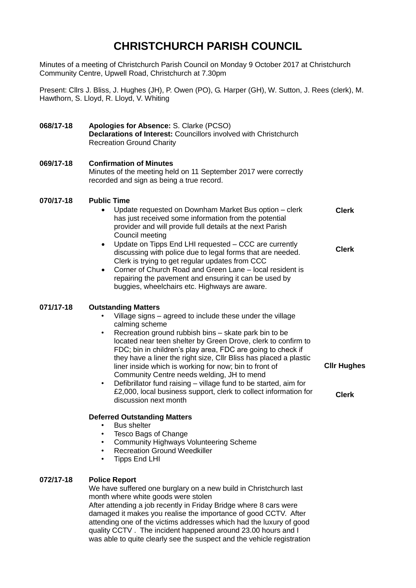# **CHRISTCHURCH PARISH COUNCIL**

Minutes of a meeting of Christchurch Parish Council on Monday 9 October 2017 at Christchurch Community Centre, Upwell Road, Christchurch at 7.30pm

Present: Cllrs J. Bliss, J. Hughes (JH), P. Owen (PO), G. Harper (GH), W. Sutton, J. Rees (clerk), M. Hawthorn, S. Lloyd, R. Lloyd, V. Whiting

#### **068/17-18 Apologies for Absence:** S. Clarke (PCSO) **Declarations of Interest:** Councillors involved with Christchurch Recreation Ground Charity

### **069/17-18 Confirmation of Minutes** Minutes of the meeting held on 11 September 2017 were correctly recorded and sign as being a true record.

#### **070/17-18 Public Time**

- Update requested on Downham Market Bus option clerk has just received some information from the potential provider and will provide full details at the next Parish Council meeting **Clerk**
- Update on Tipps End LHI requested CCC are currently discussing with police due to legal forms that are needed. Clerk is trying to get regular updates from CCC **Clerk**
- Corner of Church Road and Green Lane local resident is repairing the pavement and ensuring it can be used by buggies, wheelchairs etc. Highways are aware.

#### **071/17-18 Outstanding Matters**

- Village signs agreed to include these under the village calming scheme
- Recreation ground rubbish bins skate park bin to be located near teen shelter by Green Drove, clerk to confirm to FDC; bin in children's play area, FDC are going to check if they have a liner the right size, Cllr Bliss has placed a plastic liner inside which is working for now; bin to front of Community Centre needs welding, JH to mend
- Defibrillator fund raising village fund to be started, aim for £2,000, local business support, clerk to collect information for discussion next month

**Cllr Hughes**

**Clerk**

## **Deferred Outstanding Matters**

- Bus shelter
- Tesco Bags of Change
- Community Highways Volunteering Scheme
- **Recreation Ground Weedkiller**
- Tipps End LHI

### **072/17-18 Police Report**

We have suffered one burglary on a new build in Christchurch last month where white goods were stolen After attending a job recently in Friday Bridge where 8 cars were damaged it makes you realise the importance of good CCTV. After attending one of the victims addresses which had the luxury of good quality CCTV . The incident happened around 23.00 hours and I was able to quite clearly see the suspect and the vehicle registration